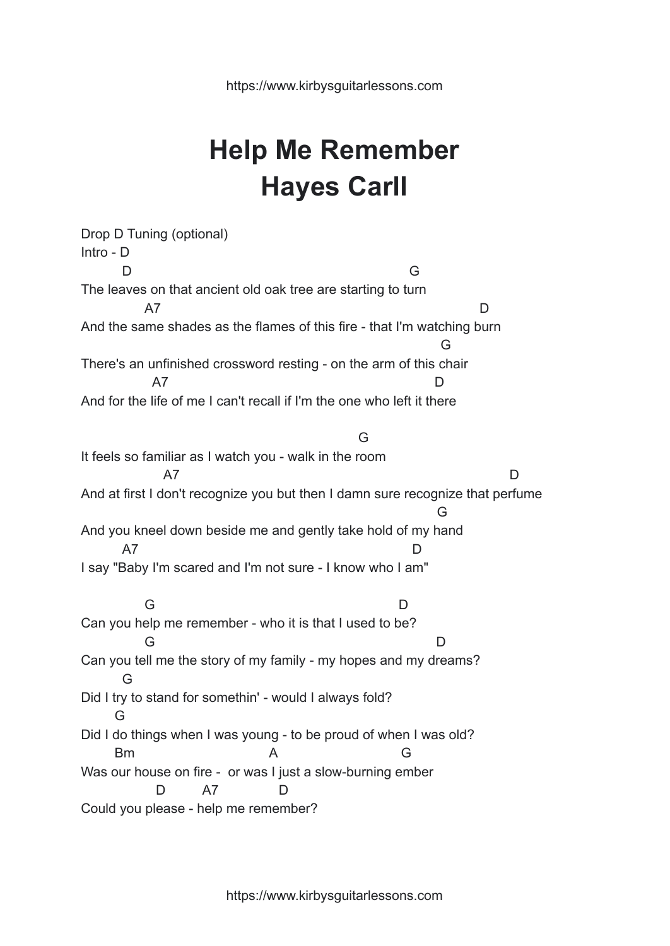## **Help Me Remember Hayes Carll**

Drop D Tuning (optional) Intro - D D G The leaves on that ancient old oak tree are starting to turn A7 D And the same shades as the flames of this fire - that I'm watching burn G There's an unfinished crossword resting - on the arm of this chair A7 D And for the life of me I can't recall if I'm the one who left it there G It feels so familiar as I watch you - walk in the room A7 D And at first I don't recognize you but then I damn sure recognize that perfume G And you kneel down beside me and gently take hold of my hand A7 D I say "Baby I'm scared and I'm not sure - I know who I am" G D Can you help me remember - who it is that I used to be? G D Can you tell me the story of my family - my hopes and my dreams? G Did I try to stand for somethin' - would I always fold? G Did I do things when I was young - to be proud of when I was old? Bm A G Was our house on fire - or was I just a slow-burning ember D A7 D Could you please - help me remember?